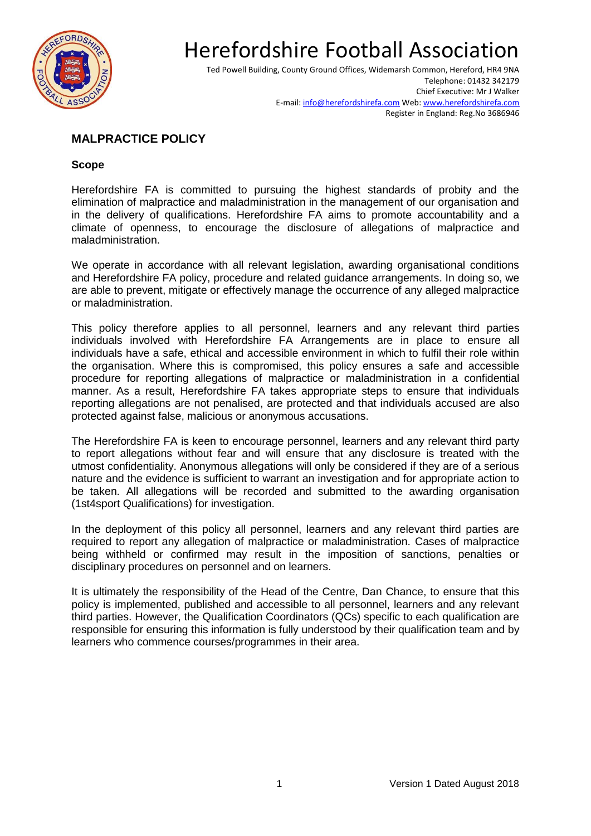

Ted Powell Building, County Ground Offices, Widemarsh Common, Hereford, HR4 9NA Telephone: 01432 342179 Chief Executive: Mr J Walker E-mail[: info@herefordshirefa.com](mailto:info@herefordshirefa.com) Web[: www.herefordshirefa.com](http://www.herefordshirefa.com/) Register in England: Reg.No 3686946

### **MALPRACTICE POLICY**

#### **Scope**

Herefordshire FA is committed to pursuing the highest standards of probity and the elimination of malpractice and maladministration in the management of our organisation and in the delivery of qualifications. Herefordshire FA aims to promote accountability and a climate of openness, to encourage the disclosure of allegations of malpractice and maladministration.

We operate in accordance with all relevant legislation, awarding organisational conditions and Herefordshire FA policy, procedure and related guidance arrangements. In doing so, we are able to prevent, mitigate or effectively manage the occurrence of any alleged malpractice or maladministration.

This policy therefore applies to all personnel, learners and any relevant third parties individuals involved with Herefordshire FA Arrangements are in place to ensure all individuals have a safe, ethical and accessible environment in which to fulfil their role within the organisation. Where this is compromised, this policy ensures a safe and accessible procedure for reporting allegations of malpractice or maladministration in a confidential manner. As a result, Herefordshire FA takes appropriate steps to ensure that individuals reporting allegations are not penalised, are protected and that individuals accused are also protected against false, malicious or anonymous accusations.

The Herefordshire FA is keen to encourage personnel, learners and any relevant third party to report allegations without fear and will ensure that any disclosure is treated with the utmost confidentiality. Anonymous allegations will only be considered if they are of a serious nature and the evidence is sufficient to warrant an investigation and for appropriate action to be taken. All allegations will be recorded and submitted to the awarding organisation (1st4sport Qualifications) for investigation.

In the deployment of this policy all personnel, learners and any relevant third parties are required to report any allegation of malpractice or maladministration. Cases of malpractice being withheld or confirmed may result in the imposition of sanctions, penalties or disciplinary procedures on personnel and on learners.

It is ultimately the responsibility of the Head of the Centre, Dan Chance, to ensure that this policy is implemented, published and accessible to all personnel, learners and any relevant third parties. However, the Qualification Coordinators (QCs) specific to each qualification are responsible for ensuring this information is fully understood by their qualification team and by learners who commence courses/programmes in their area.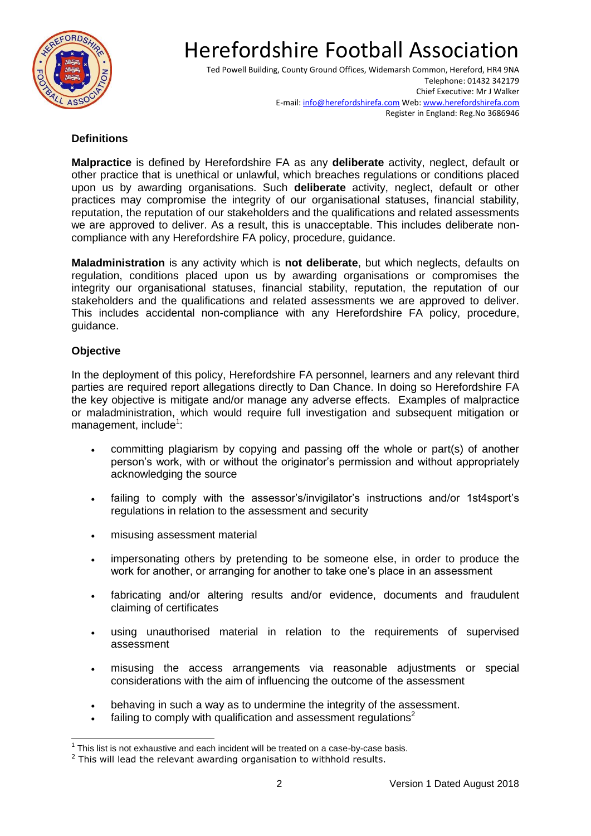

Ted Powell Building, County Ground Offices, Widemarsh Common, Hereford, HR4 9NA Telephone: 01432 342179 Chief Executive: Mr J Walker E-mail[: info@herefordshirefa.com](mailto:info@herefordshirefa.com) Web[: www.herefordshirefa.com](http://www.herefordshirefa.com/) Register in England: Reg.No 3686946

#### **Definitions**

**Malpractice** is defined by Herefordshire FA as any **deliberate** activity, neglect, default or other practice that is unethical or unlawful, which breaches regulations or conditions placed upon us by awarding organisations. Such **deliberate** activity, neglect, default or other practices may compromise the integrity of our organisational statuses, financial stability, reputation, the reputation of our stakeholders and the qualifications and related assessments we are approved to deliver. As a result, this is unacceptable. This includes deliberate noncompliance with any Herefordshire FA policy, procedure, guidance.

**Maladministration** is any activity which is **not deliberate**, but which neglects, defaults on regulation, conditions placed upon us by awarding organisations or compromises the integrity our organisational statuses, financial stability, reputation, the reputation of our stakeholders and the qualifications and related assessments we are approved to deliver. This includes accidental non-compliance with any Herefordshire FA policy, procedure, guidance.

#### **Objective**

In the deployment of this policy, Herefordshire FA personnel, learners and any relevant third parties are required report allegations directly to Dan Chance. In doing so Herefordshire FA the key objective is mitigate and/or manage any adverse effects. Examples of malpractice or maladministration, which would require full investigation and subsequent mitigation or management, include<sup>1</sup>:

- committing plagiarism by copying and passing off the whole or part(s) of another person's work, with or without the originator's permission and without appropriately acknowledging the source
- failing to comply with the assessor's/invigilator's instructions and/or 1st4sport's regulations in relation to the assessment and security
- misusing assessment material
- impersonating others by pretending to be someone else, in order to produce the work for another, or arranging for another to take one's place in an assessment
- fabricating and/or altering results and/or evidence, documents and fraudulent claiming of certificates
- using unauthorised material in relation to the requirements of supervised assessment
- misusing the access arrangements via reasonable adjustments or special considerations with the aim of influencing the outcome of the assessment
- behaving in such a way as to undermine the integrity of the assessment.
- failing to comply with qualification and assessment regulations<sup>2</sup>

 $\overline{\phantom{a}}$  $1$  This list is not exhaustive and each incident will be treated on a case-by-case basis.

<sup>&</sup>lt;sup>2</sup> This will lead the relevant awarding organisation to withhold results.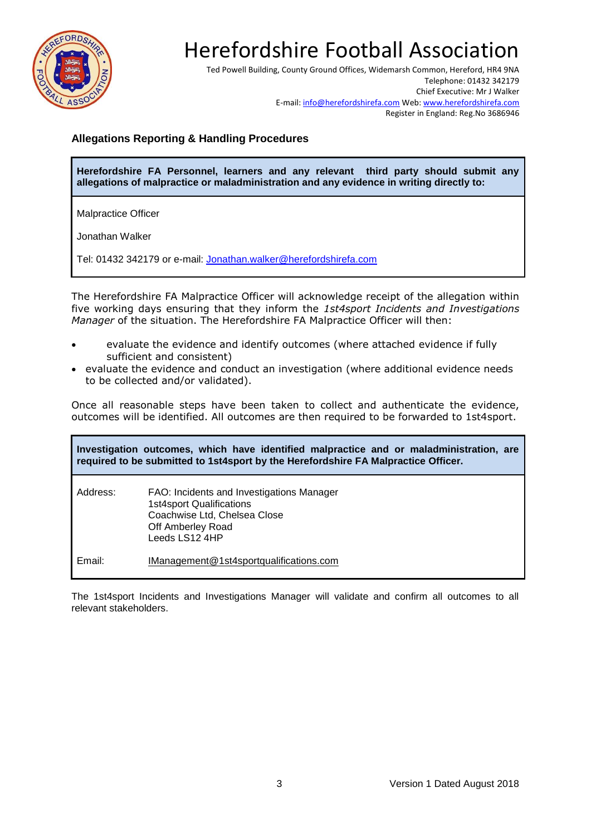

Ted Powell Building, County Ground Offices, Widemarsh Common, Hereford, HR4 9NA Telephone: 01432 342179 Chief Executive: Mr J Walker E-mail[: info@herefordshirefa.com](mailto:info@herefordshirefa.com) Web[: www.herefordshirefa.com](http://www.herefordshirefa.com/) Register in England: Reg.No 3686946

### **Allegations Reporting & Handling Procedures**

**Herefordshire FA Personnel, learners and any relevant third party should submit any allegations of malpractice or maladministration and any evidence in writing directly to:**

Malpractice Officer

Jonathan Walker

Tel: 01432 342179 or e-mail: [Jonathan.walker@herefordshirefa.com](mailto:Jonathan.walker@herefordshirefa.com)

The Herefordshire FA Malpractice Officer will acknowledge receipt of the allegation within five working days ensuring that they inform the *1st4sport Incidents and Investigations Manager* of the situation. The Herefordshire FA Malpractice Officer will then:

- evaluate the evidence and identify outcomes (where attached evidence if fully sufficient and consistent)
- evaluate the evidence and conduct an investigation (where additional evidence needs to be collected and/or validated).

Once all reasonable steps have been taken to collect and authenticate the evidence, outcomes will be identified. All outcomes are then required to be forwarded to 1st4sport.

| Investigation outcomes, which have identified malpractice and or maladministration, are<br>required to be submitted to 1st4sport by the Herefordshire FA Malpractice Officer. |                                                                                                                                                     |
|-------------------------------------------------------------------------------------------------------------------------------------------------------------------------------|-----------------------------------------------------------------------------------------------------------------------------------------------------|
| Address:                                                                                                                                                                      | FAO: Incidents and Investigations Manager<br><b>1st4sport Qualifications</b><br>Coachwise Ltd, Chelsea Close<br>Off Amberley Road<br>Leeds LS12 4HP |
| Email:                                                                                                                                                                        | IManagement@1st4sportqualifications.com                                                                                                             |

The 1st4sport Incidents and Investigations Manager will validate and confirm all outcomes to all relevant stakeholders.